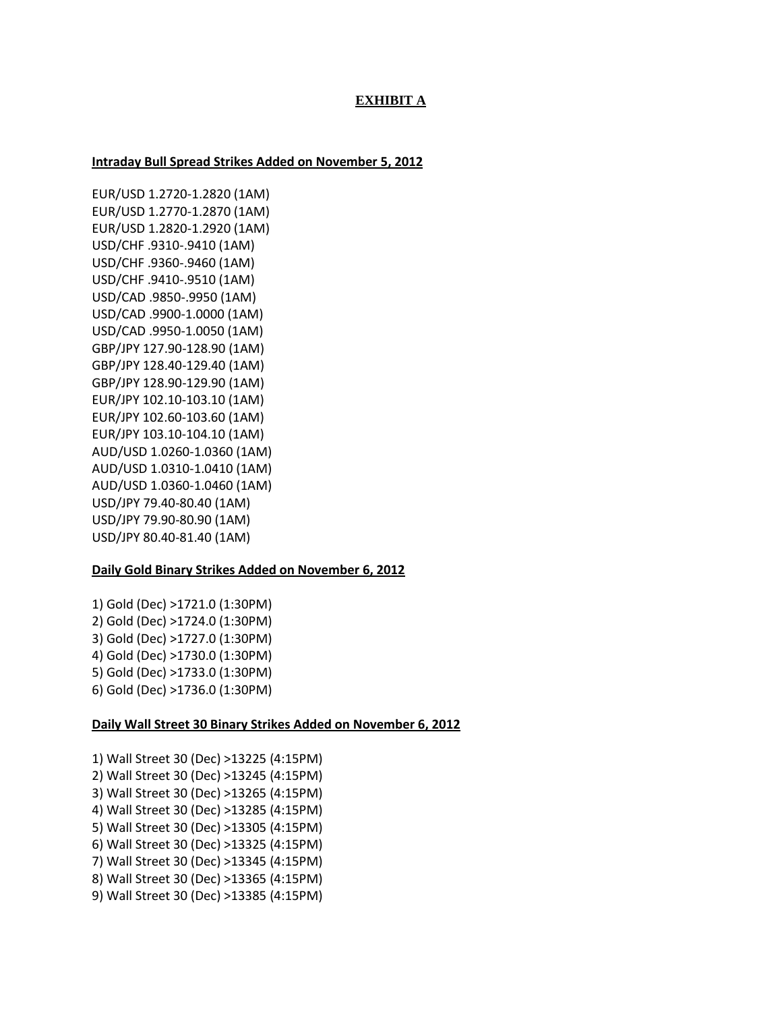## **EXHIBIT A**

#### **Intraday Bull Spread Strikes Added on November 5, 2012**

EUR/USD 1.2720-1.2820 (1AM) EUR/USD 1.2770-1.2870 (1AM) EUR/USD 1.2820-1.2920 (1AM) USD/CHF .9310-.9410 (1AM) USD/CHF .9360-.9460 (1AM) USD/CHF .9410-.9510 (1AM) USD/CAD .9850-.9950 (1AM) USD/CAD .9900-1.0000 (1AM) USD/CAD .9950-1.0050 (1AM) GBP/JPY 127.90-128.90 (1AM) GBP/JPY 128.40-129.40 (1AM) GBP/JPY 128.90-129.90 (1AM) EUR/JPY 102.10-103.10 (1AM) EUR/JPY 102.60-103.60 (1AM) EUR/JPY 103.10-104.10 (1AM) AUD/USD 1.0260-1.0360 (1AM) AUD/USD 1.0310-1.0410 (1AM) AUD/USD 1.0360-1.0460 (1AM) USD/JPY 79.40-80.40 (1AM) USD/JPY 79.90-80.90 (1AM) USD/JPY 80.40-81.40 (1AM)

### **Daily Gold Binary Strikes Added on November 6, 2012**

1) Gold (Dec) >1721.0 (1:30PM) 2) Gold (Dec) >1724.0 (1:30PM) 3) Gold (Dec) >1727.0 (1:30PM) 4) Gold (Dec) >1730.0 (1:30PM) 5) Gold (Dec) >1733.0 (1:30PM) 6) Gold (Dec) >1736.0 (1:30PM)

#### **Daily Wall Street 30 Binary Strikes Added on November 6, 2012**

1) Wall Street 30 (Dec) >13225 (4:15PM) 2) Wall Street 30 (Dec) >13245 (4:15PM) 3) Wall Street 30 (Dec) >13265 (4:15PM) 4) Wall Street 30 (Dec) >13285 (4:15PM) 5) Wall Street 30 (Dec) >13305 (4:15PM) 6) Wall Street 30 (Dec) >13325 (4:15PM) 7) Wall Street 30 (Dec) >13345 (4:15PM) 8) Wall Street 30 (Dec) >13365 (4:15PM) 9) Wall Street 30 (Dec) >13385 (4:15PM)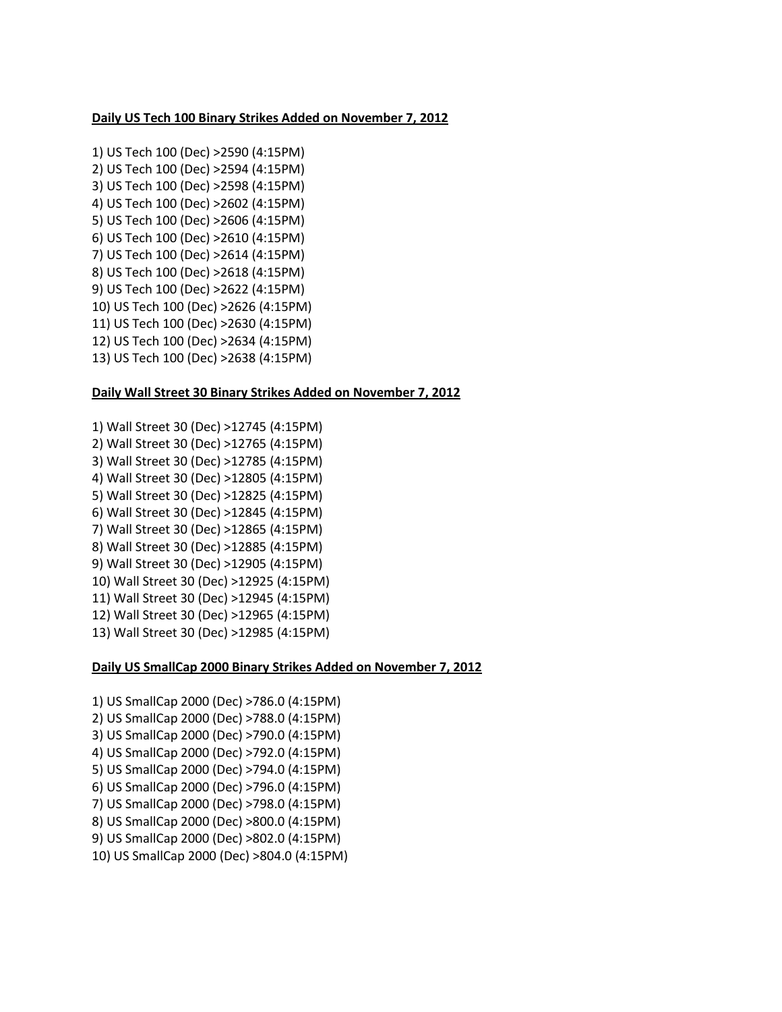#### **Daily US Tech 100 Binary Strikes Added on November 7, 2012**

1) US Tech 100 (Dec) >2590 (4:15PM) 2) US Tech 100 (Dec) >2594 (4:15PM) 3) US Tech 100 (Dec) >2598 (4:15PM) 4) US Tech 100 (Dec) >2602 (4:15PM) 5) US Tech 100 (Dec) >2606 (4:15PM) 6) US Tech 100 (Dec) >2610 (4:15PM) 7) US Tech 100 (Dec) >2614 (4:15PM) 8) US Tech 100 (Dec) >2618 (4:15PM) 9) US Tech 100 (Dec) >2622 (4:15PM) 10) US Tech 100 (Dec) >2626 (4:15PM) 11) US Tech 100 (Dec) >2630 (4:15PM) 12) US Tech 100 (Dec) >2634 (4:15PM) 13) US Tech 100 (Dec) >2638 (4:15PM)

#### **Daily Wall Street 30 Binary Strikes Added on November 7, 2012**

1) Wall Street 30 (Dec) >12745 (4:15PM) 2) Wall Street 30 (Dec) >12765 (4:15PM) 3) Wall Street 30 (Dec) >12785 (4:15PM) 4) Wall Street 30 (Dec) >12805 (4:15PM) 5) Wall Street 30 (Dec) >12825 (4:15PM) 6) Wall Street 30 (Dec) >12845 (4:15PM) 7) Wall Street 30 (Dec) >12865 (4:15PM) 8) Wall Street 30 (Dec) >12885 (4:15PM) 9) Wall Street 30 (Dec) >12905 (4:15PM) 10) Wall Street 30 (Dec) >12925 (4:15PM) 11) Wall Street 30 (Dec) >12945 (4:15PM) 12) Wall Street 30 (Dec) >12965 (4:15PM) 13) Wall Street 30 (Dec) >12985 (4:15PM)

## **Daily US SmallCap 2000 Binary Strikes Added on November 7, 2012**

1) US SmallCap 2000 (Dec) >786.0 (4:15PM) 2) US SmallCap 2000 (Dec) >788.0 (4:15PM) 3) US SmallCap 2000 (Dec) >790.0 (4:15PM) 4) US SmallCap 2000 (Dec) >792.0 (4:15PM) 5) US SmallCap 2000 (Dec) >794.0 (4:15PM) 6) US SmallCap 2000 (Dec) >796.0 (4:15PM) 7) US SmallCap 2000 (Dec) >798.0 (4:15PM) 8) US SmallCap 2000 (Dec) >800.0 (4:15PM) 9) US SmallCap 2000 (Dec) >802.0 (4:15PM) 10) US SmallCap 2000 (Dec) >804.0 (4:15PM)